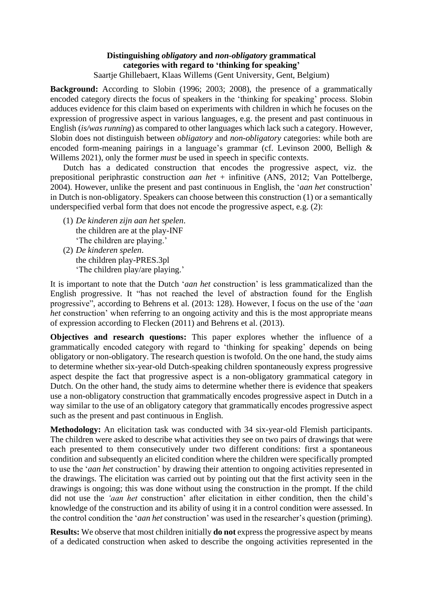## **Distinguishing** *obligatory* **and** *non-obligatory* **grammatical categories with regard to 'thinking for speaking'** Saartje Ghillebaert, Klaas Willems (Gent University, Gent, Belgium)

**Background:** According to Slobin (1996; 2003; 2008), the presence of a grammatically encoded category directs the focus of speakers in the 'thinking for speaking' process. Slobin adduces evidence for this claim based on experiments with children in which he focuses on the expression of progressive aspect in various languages, e.g. the present and past continuous in English (*is/was running*) as compared to other languages which lack such a category. However, Slobin does not distinguish between *obligatory* and *non-obligatory* categories: while both are encoded form-meaning pairings in a language's grammar (cf. Levinson 2000, Belligh & Willems 2021), only the former *must* be used in speech in specific contexts.

Dutch has a dedicated construction that encodes the progressive aspect, viz. the prepositional periphrastic construction *aan het* + infinitive (ANS, 2012; Van Pottelberge, 2004). However, unlike the present and past continuous in English, the '*aan het* construction' in Dutch is non-obligatory. Speakers can choose between this construction (1) or a semantically underspecified verbal form that does not encode the progressive aspect, e.g. (2):

- (1) *De kinderen zijn aan het spelen*. the children are at the play-INF 'The children are playing.'
- (2) *De kinderen spelen*. the children play-PRES.3pl 'The children play/are playing.'

It is important to note that the Dutch '*aan het* construction' is less grammaticalized than the English progressive. It "has not reached the level of abstraction found for the English progressive", according to Behrens et al. (2013: 128). However, I focus on the use of the '*aan het* construction' when referring to an ongoing activity and this is the most appropriate means of expression according to Flecken (2011) and Behrens et al. (2013).

**Objectives and research questions:** This paper explores whether the influence of a grammatically encoded category with regard to 'thinking for speaking' depends on being obligatory or non-obligatory. The research question is twofold. On the one hand, the study aims to determine whether six-year-old Dutch-speaking children spontaneously express progressive aspect despite the fact that progressive aspect is a non-obligatory grammatical category in Dutch. On the other hand, the study aims to determine whether there is evidence that speakers use a non-obligatory construction that grammatically encodes progressive aspect in Dutch in a way similar to the use of an obligatory category that grammatically encodes progressive aspect such as the present and past continuous in English.

**Methodology:** An elicitation task was conducted with 34 six-year-old Flemish participants. The children were asked to describe what activities they see on two pairs of drawings that were each presented to them consecutively under two different conditions: first a spontaneous condition and subsequently an elicited condition where the children were specifically prompted to use the '*aan het* construction' by drawing their attention to ongoing activities represented in the drawings. The elicitation was carried out by pointing out that the first activity seen in the drawings is ongoing; this was done without using the construction in the prompt. If the child did not use the *'aan het* construction' after elicitation in either condition, then the child's knowledge of the construction and its ability of using it in a control condition were assessed. In the control condition the '*aan het* construction' was used in the researcher's question (priming).

**Results:** We observe that most children initially **do not** express the progressive aspect by means of a dedicated construction when asked to describe the ongoing activities represented in the